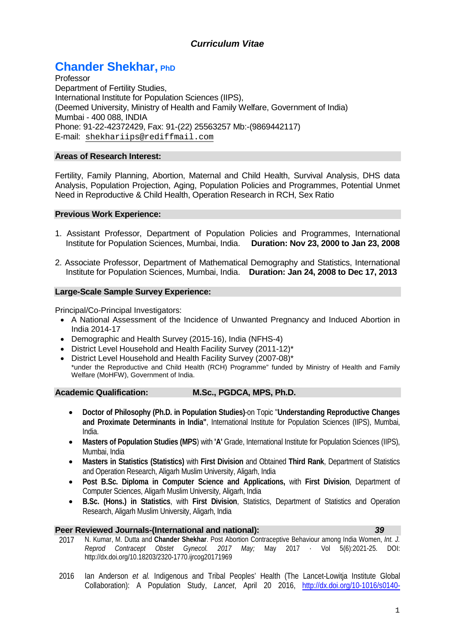# *Curriculum Vitae*

# **Chander Shekhar, PhD**

Professor Department of Fertility Studies, International Institute for Population Sciences (IIPS), (Deemed University, Ministry of Health and Family Welfare, Government of India) Mumbai - 400 088, INDIA Phone: 91-22-42372429, Fax: 91-(22) 25563257 Mb:-(9869442117) E-mail: [shekhariips@rediffmail.com](mailto:shekhariips@rediffmail.com)

# **Areas of Research Interest:**

Fertility, Family Planning, Abortion, Maternal and Child Health, Survival Analysis, DHS data Analysis, Population Projection, Aging, Population Policies and Programmes, Potential Unmet Need in Reproductive & Child Health, Operation Research in RCH, Sex Ratio

### **Previous Work Experience:**

- 1. Assistant Professor, Department of Population Policies and Programmes, International Institute for Population Sciences, Mumbai, India. **Duration: Nov 23, 2000 to Jan 23, 2008**
- 2. Associate Professor, Department of Mathematical Demography and Statistics, International Institute for Population Sciences, Mumbai, India. **Duration: Jan 24, 2008 to Dec 17, 2013**

# **Large-Scale Sample Survey Experience:**

Principal/Co-Principal Investigators:

- A National Assessment of the Incidence of Unwanted Pregnancy and Induced Abortion in India 2014-17
- Demographic and Health Survey (2015-16), India (NFHS-4)
- District Level Household and Health Facility Survey (2011-12)\*
- District Level Household and Health Facility Survey (2007-08)\* \*under the Reproductive and Child Health (RCH) Programme" funded by Ministry of Health and Family Welfare (MoHFW), Government of India.

### **Academic Qualification: M.Sc., PGDCA, MPS, Ph.D.**

- **Doctor of Philosophy (Ph.D. in Population Studies)**-on Topic "**Understanding Reproductive Changes and Proximate Determinants in India"**, International Institute for Population Sciences (IIPS), Mumbai, India.
- **Masters of Population Studies (MPS**) with **'A'** Grade, International Institute for Population Sciences (IIPS), Mumbai, India
- **Masters in Statistics (Statistics)** with **First Division** and Obtained **Third Rank**, Department of Statistics and Operation Research, Aligarh Muslim University, Aligarh, India
- **Post B.Sc. Diploma in Computer Science and Applications,** with **First Division**, Department of Computer Sciences, Aligarh Muslim University, Aligarh, India
- **B.Sc. (Hons.) in Statistics**, with **First Division**, Statistics, Department of Statistics and Operation Research, Aligarh Muslim University, Aligarh, India

# **Peer Reviewed Journals-(International and national):** *39*

- 2017 N. Kumar, M. Dutta and **Chander Shekhar**. Post Abortion Contraceptive Behaviour among India Women, *Int. J. Reprod Contracept Obstet Gynecol. 2017 May;* May 2017 · Vol 5(6):2021-25. DOI: http://dx.doi.org/10.18203/2320-1770.ijrcog20171969
- 2016 Ian Anderson *et al.* Indigenous and Tribal Peoples' Health (The Lancet-Lowitja Institute Global Collaboration): A Population Study, *Lancet*, April 20 2016, [http://dx.doi.org/10-1016/s0140-](http://dx.doi.org/10-1016/s0140-6736(16)00345-7)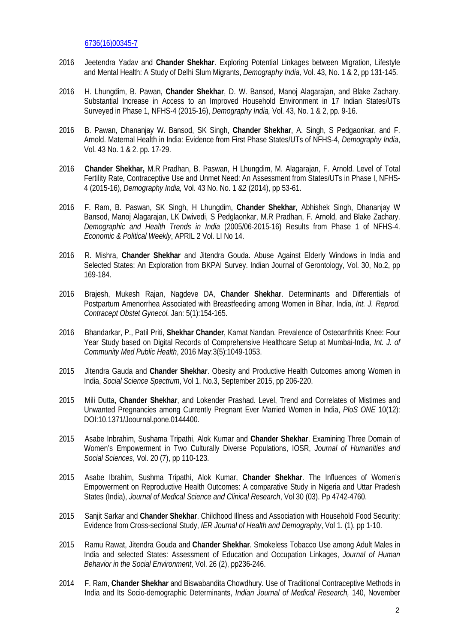[6736\(16\)00345-7](http://dx.doi.org/10-1016/s0140-6736(16)00345-7)

- 2016 Jeetendra Yadav and **Chander Shekhar**. Exploring Potential Linkages between Migration, Lifestyle and Mental Health: A Study of Delhi Slum Migrants, *Demography India,* Vol. 43, No. 1 & 2, pp 131-145.
- 2016 H. Lhungdim, B. Pawan, **Chander Shekhar**, D. W. Bansod, Manoj Alagarajan, and Blake Zachary. Substantial Increase in Access to an Improved Household Environment in 17 Indian States/UTs Surveyed in Phase 1, NFHS-4 (2015-16), *Demography India,* Vol. 43, No. 1 & 2, pp. 9-16.
- 2016 B. Pawan, Dhananjay W. Bansod, SK Singh, **Chander Shekhar**, A. Singh, S Pedgaonkar, and F. Arnold. Maternal Health in India: Evidence from First Phase States/UTs of NFHS-4, *Demography India*, Vol. 43 No. 1 & 2. pp. 17-29.
- 2016 **Chander Shekhar,** M.R Pradhan, B. Paswan, H Lhungdim, M. Alagarajan, F. Arnold. Level of Total Fertility Rate, Contraceptive Use and Unmet Need: An Assessment from States/UTs in Phase I, NFHS-4 (2015-16), *Demography India,* Vol. 43 No. No. 1 &2 (2014), pp 53-61.
- 2016 F. Ram, B. Paswan, SK Singh, H Lhungdim, **Chander Shekhar**, Abhishek Singh, Dhananjay W Bansod, Manoj Alagarajan, LK Dwivedi, S Pedglaonkar, M.R Pradhan, F. Arnold, and Blake Zachary. *Demographic and Health Trends in India* (2005/06-2015-16) Results from Phase 1 of NFHS-4. *Economic & Political Weekly*, APRIL 2 Vol. LI No 14.
- 2016 R. Mishra, **Chander Shekhar** and Jitendra Gouda. Abuse Against Elderly Windows in India and Selected States: An Exploration from BKPAI Survey. Indian Journal of Gerontology, Vol. 30, No.2, pp 169-184.
- 2016 Brajesh, Mukesh Rajan, Nagdeve DA, **Chander Shekhar**. Determinants and Differentials of Postpartum Amenorrhea Associated with Breastfeeding among Women in Bihar, India, *Int. J. Reprod. Contracept Obstet Gynecol.* Jan: 5(1):154-165.
- 2016 Bhandarkar, P., Patil Priti, **Shekhar Chander**, Kamat Nandan. Prevalence of Osteoarthritis Knee: Four Year Study based on Digital Records of Comprehensive Healthcare Setup at Mumbai-India*, Int. J. of Community Med Public Health*, 2016 May:3(5):1049-1053.
- 2015 Jitendra Gauda and **Chander Shekhar**. Obesity and Productive Health Outcomes among Women in India, *Social Science Spectrum*, Vol 1, No.3, September 2015, pp 206-220.
- 2015 Mili Dutta, **Chander Shekhar**, and Lokender Prashad. Level, Trend and Correlates of Mistimes and Unwanted Pregnancies among Currently Pregnant Ever Married Women in India, *PloS ONE* 10(12): DOI:10.1371/Joournal.pone.0144400.
- 2015 Asabe Inbrahim, Sushama Tripathi, Alok Kumar and **Chander Shekhar**. Examining Three Domain of Women's Empowerment in Two Culturally Diverse Populations, IOSR, *Journal of Humanities and Social Sciences*, Vol. 20 (7), pp 110-123.
- 2015 Asabe Ibrahim, Sushma Tripathi, Alok Kumar, **Chander Shekhar**. The Influences of Women's Empowerment on Reproductive Health Outcomes: A comparative Study in Nigeria and Uttar Pradesh States (India), *Journal of Medical Science and Clinical Research*, Vol 30 (03). Pp 4742-4760.
- 2015 Sanjit Sarkar and **Chander Shekhar**. Childhood Illness and Association with Household Food Security: Evidence from Cross-sectional Study, *IER Journal of Health and Demography*, Vol 1. (1), pp 1-10.
- 2015 Ramu Rawat, Jitendra Gouda and **Chander Shekhar**. Smokeless Tobacco Use among Adult Males in India and selected States: Assessment of Education and Occupation Linkages, *Journal of Human Behavior in the Social Environment*, Vol. 26 (2), pp236-246.
- 2014 F. Ram, **Chander Shekhar** and Biswabandita Chowdhury. Use of Traditional Contraceptive Methods in India and Its Socio-demographic Determinants, *Indian Journal of Medical Research,* 140, November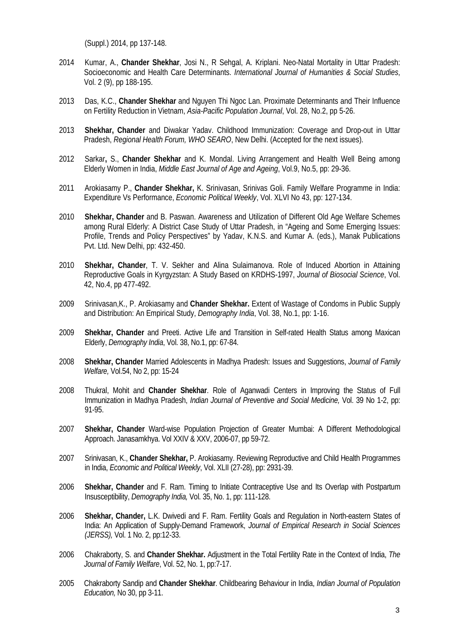(Suppl.) 2014, pp 137-148.

- 2014 Kumar, A., **Chander Shekhar**, Josi N., R Sehgal, A. Kriplani. Neo-Natal Mortality in Uttar Pradesh: Socioeconomic and Health Care Determinants. *International Journal of Humanities & Social Studies*, Vol. 2 (9), pp 188-195.
- 2013 Das, K.C., **Chander Shekhar** and Nguyen Thi Ngoc Lan. Proximate Determinants and Their Influence on Fertility Reduction in Vietnam, *Asia-Pacific Population Journal*, Vol. 28, No.2, pp 5-26.
- 2013 **Shekhar, Chander** and Diwakar Yadav. Childhood Immunization: Coverage and Drop-out in Uttar Pradesh, *Regional Health Forum, WHO SEARO*, New Delhi. (Accepted for the next issues).
- 2012 Sarkar**,** S., **Chander Shekhar** and K. Mondal. Living Arrangement and Health Well Being among Elderly Women in India, *Middle East Journal of Age and Ageing*, Vol.9, No.5, pp: 29-36.
- 2011 Arokiasamy P., **Chander Shekhar,** K. Srinivasan, Srinivas Goli. Family Welfare Programme in India: Expenditure Vs Performance, *Economic Political Weekly*, Vol. XLVI No 43, pp: 127-134.
- 2010 **Shekhar, Chander** and B. Paswan. Awareness and Utilization of Different Old Age Welfare Schemes among Rural Elderly: A District Case Study of Uttar Pradesh, in "Ageing and Some Emerging Issues: Profile, Trends and Policy Perspectives" by Yadav, K.N.S. and Kumar A. (eds.), Manak Publications Pvt. Ltd. New Delhi, pp: 432-450.
- 2010 **Shekhar, Chander**, T. V. Sekher and Alina Sulaimanova. Role of Induced Abortion in Attaining Reproductive Goals in Kyrgyzstan: A Study Based on KRDHS-1997, *[Journal of Biosocial Science](http://journals.cambridge.org/action/displayJournal?jid=JBS)*, [Vol.](http://journals.cambridge.org/action/displayJournal?jid=JBS&volumeId=42&bVolume=y#loc42)  [42,](http://journals.cambridge.org/action/displayJournal?jid=JBS&volumeId=42&bVolume=y#loc42) No.4, pp 477-492.
- 2009 Srinivasan,K., P. Arokiasamy and **Chander Shekhar.** Extent of Wastage of Condoms in Public Supply and Distribution: An Empirical Study, *Demography India*, Vol. 38, No.1, pp: 1-16.
- 2009 **Shekhar, Chander** and Preeti. Active Life and Transition in Self-rated Health Status among Maxican Elderly, *Demography India*, Vol. 38, No.1, pp: 67-84.
- 2008 **Shekhar, Chander** Married Adolescents in Madhya Pradesh: Issues and Suggestions, *Journal of Family Welfare,* Vol.54, No 2, pp: 15-24
- 2008 Thukral, Mohit and **Chander Shekhar**. Role of Aganwadi Centers in Improving the Status of Full Immunization in Madhya Pradesh, *Indian Journal of Preventive and Social Medicine,* Vol. 39 No 1-2, pp: 91-95.
- 2007 **Shekhar, Chander** Ward-wise Population Projection of Greater Mumbai: A Different Methodological Approach. Janasamkhya. Vol XXIV & XXV, 2006-07, pp 59-72.
- 2007 Srinivasan, K., **Chander Shekhar,** P. Arokiasamy. Reviewing Reproductive and Child Health Programmes in India, *Economic and Political Weekly*, Vol. XLII (27-28), pp: 2931-39.
- 2006 **Shekhar, Chander** and F. Ram. Timing to Initiate Contraceptive Use and Its Overlap with Postpartum Insusceptibility, *Demography India,* Vol. 35, No. 1, pp: 111-128.
- 2006 **Shekhar, Chander,** L.K. Dwivedi and F. Ram. Fertility Goals and Regulation in North-eastern States of India: An Application of Supply-Demand Framework, *Journal of Empirical Research in Social Sciences (JERSS),* Vol. 1 No. 2, pp:12-33.
- 2006 Chakraborty, S. and **Chander Shekhar.** Adjustment in the Total Fertility Rate in the Context of India, *The Journal of Family Welfare*, Vol. 52, No. 1, pp:7-17.
- 2005 Chakraborty Sandip and **Chander Shekhar**. Childbearing Behaviour in India, *Indian Journal of Population Education,* No 30, pp 3-11.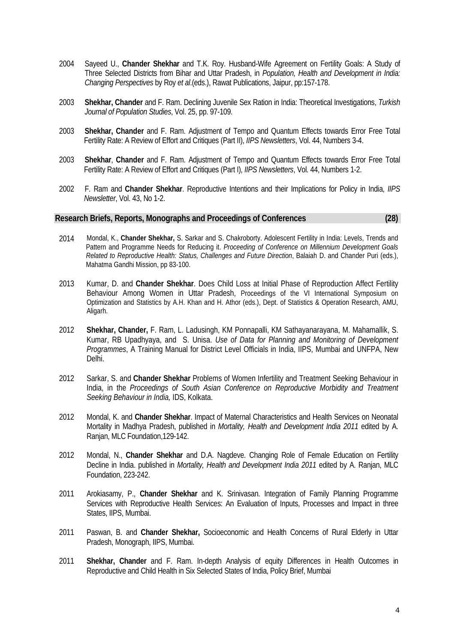- 2004 Sayeed U., **Chander Shekhar** and T.K. Roy. Husband-Wife Agreement on Fertility Goals: A Study of Three Selected Districts from Bihar and Uttar Pradesh, in *Population, Health and Development in India: Changing Perspectives* by Roy *et al*.(eds.), Rawat Publications, Jaipur, pp:157-178.
- 2003 **Shekhar, Chander** and F. Ram. Declining Juvenile Sex Ration in India: Theoretical Investigations, *Turkish Journal of Population Studies*, Vol. 25, pp. 97-109.
- 2003 **Shekhar, Chander** and F. Ram. Adjustment of Tempo and Quantum Effects towards Error Free Total Fertility Rate: A Review of Effort and Critiques (Part II), *IIPS Newsletters*, Vol. 44, Numbers 3-4.
- 2003 **Shekhar**, **Chander** and F. Ram. Adjustment of Tempo and Quantum Effects towards Error Free Total Fertility Rate: A Review of Effort and Critiques (Part I), *IIPS Newsletters*, Vol. 44, Numbers 1-2.
- 2002 F. Ram and **Chander Shekhar**. Reproductive Intentions and their Implications for Policy in India, *IIPS Newsletter*, Vol. 43, No 1-2.

#### **Research Briefs, Reports, Monographs and Proceedings of Conferences (28)**

- 2014 Mondal, K., **Chander Shekhar,** S. Sarkar and S. Chakroborty. Adolescent Fertility in India: Levels, Trends and Pattern and Programme Needs for Reducing it. *Proceeding of Conference on Millennium Development Goals Related to Reproductive Health: Status, Challenges and Future Direction*, Balaiah D. and Chander Puri (eds.), Mahatma Gandhi Mission, pp 83-100.
- 2013 Kumar, D. and **Chander Shekhar**. Does Child Loss at Initial Phase of Reproduction Affect Fertility Behaviour Among Women in Uttar Pradesh, Proceedings of the VI International Symposium on Optimization and Statistics by A.H. Khan and H. Athor (eds.), Dept. of Statistics & Operation Research, AMU, Aligarh.
- 2012 **Shekhar, Chander,** F. Ram, L. Ladusingh, KM Ponnapalli, KM Sathayanarayana, M. Mahamallik, S. Kumar, RB Upadhyaya, and S. Unisa. *Use of Data for Planning and Monitoring of Development Programmes*, A Training Manual for District Level Officials in India, IIPS, Mumbai and UNFPA, New Delhi.
- 2012 Sarkar, S. and **Chander Shekhar** Problems of Women Infertility and Treatment Seeking Behaviour in India, in the *Proceedings of South Asian Conference on Reproductive Morbidity and Treatment Seeking Behaviour in India,* IDS, Kolkata.
- 2012 Mondal, K. and **Chander Shekhar**. Impact of Maternal Characteristics and Health Services on Neonatal Mortality in Madhya Pradesh, published in *Mortality, Health and Development India 2011* edited by A. Ranjan, MLC Foundation,129-142.
- 2012 Mondal, N., **Chander Shekhar** and D.A. Nagdeve. Changing Role of Female Education on Fertility Decline in India. published in *Mortality, Health and Development India 2011* edited by A. Ranjan, MLC Foundation, 223-242.
- 2011 Arokiasamy, P., **Chander Shekhar** and K. Srinivasan. Integration of Family Planning Programme Services with Reproductive Health Services: An Evaluation of Inputs, Processes and Impact in three States, IIPS, Mumbai.
- 2011 Paswan, B. and **Chander Shekhar,** Socioeconomic and Health Concerns of Rural Elderly in Uttar Pradesh, Monograph, IIPS, Mumbai.
- 2011 **Shekhar, Chander** and F. Ram. In-depth Analysis of equity Differences in Health Outcomes in Reproductive and Child Health in Six Selected States of India, Policy Brief, Mumbai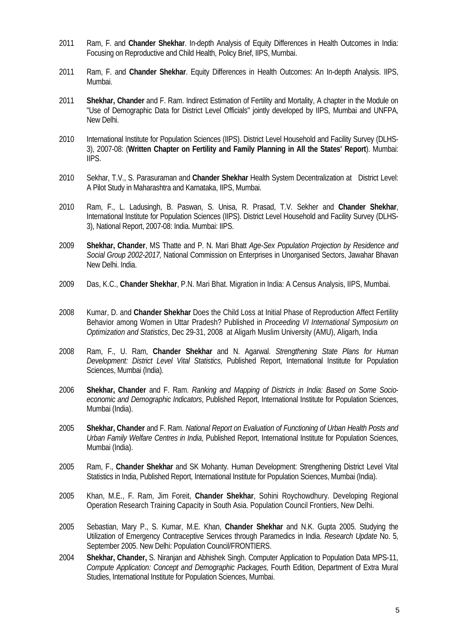- 2011 Ram, F. and **Chander Shekhar**. In-depth Analysis of Equity Differences in Health Outcomes in India: Focusing on Reproductive and Child Health, Policy Brief, IIPS, Mumbai.
- 2011 Ram, F. and **Chander Shekhar**. Equity Differences in Health Outcomes: An In-depth Analysis. IIPS, Mumbai.
- 2011 **Shekhar, Chander** and F. Ram. Indirect Estimation of Fertility and Mortality, A chapter in the Module on "Use of Demographic Data for District Level Officials" jointly developed by IIPS, Mumbai and UNFPA, New Delhi.
- 2010 International Institute for Population Sciences (IIPS). District Level Household and Facility Survey (DLHS-3), 2007-08: (**Written Chapter on Fertility and Family Planning in All the States' Report**). Mumbai: IIPS.
- 2010 Sekhar, T.V., S. Parasuraman and **Chander Shekhar** Health System Decentralization at District Level: A Pilot Study in Maharashtra and Karnataka, IIPS, Mumbai.
- 2010 Ram, F., L. Ladusingh, B. Paswan, S. Unisa, R. Prasad, T.V. Sekher and **Chander Shekhar**, International Institute for Population Sciences (IIPS). District Level Household and Facility Survey (DLHS-3), National Report, 2007-08: India. Mumbai: IIPS.
- 2009 **Shekhar, Chander**, MS Thatte and P. N. Mari Bhatt *Age-Sex Population Projection by Residence and Social Group 2002-2017,* National Commission on Enterprises in Unorganised Sectors, Jawahar Bhavan New Delhi. India.
- 2009 Das, K.C., **Chander Shekhar**, P.N. Mari Bhat. Migration in India: A Census Analysis, IIPS, Mumbai.
- 2008 Kumar, D. and **Chander Shekhar** Does the Child Loss at Initial Phase of Reproduction Affect Fertility Behavior among Women in Uttar Pradesh? Published in *Proceeding VI International Symposium on Optimization and Statistics*, Dec 29-31, 2008 at Aligarh Muslim University (AMU), Aligarh, India
- 2008 Ram, F., U. Ram, **Chander Shekhar** and N. Agarwal. *Strengthening State Plans for Human Development: District Level Vital Statistics*, Published Report, International Institute for Population Sciences, Mumbai (India).
- 2006 **Shekhar, Chander** and F. Ram. *Ranking and Mapping of Districts in India: Based on Some Socioeconomic and Demographic Indicators*, Published Report, International Institute for Population Sciences, Mumbai (India).
- 2005 **Shekhar, Chander** and F. Ram. *National Report on Evaluation of Functioning of Urban Health Posts and Urban Family Welfare Centres in India*, Published Report, International Institute for Population Sciences, Mumbai (India).
- 2005 Ram, F., **Chander Shekhar** and SK Mohanty. Human Development: Strengthening District Level Vital Statistics in India, Published Report, International Institute for Population Sciences, Mumbai (India).
- 2005 Khan, M.E., F. Ram, Jim Foreit, **Chander Shekhar**, Sohini Roychowdhury. Developing Regional Operation Research Training Capacity in South Asia. Population Council Frontiers, New Delhi.
- 2005 Sebastian, Mary P., S. Kumar, M.E. Khan, **Chander Shekhar** and N.K. Gupta 2005. Studying the Utilization of Emergency Contraceptive Services through Paramedics in India. *Research Update* No. 5, September 2005. New Delhi: Population Council/FRONTIERS.
- 2004 **Shekhar, Chander,** S. Niranjan and Abhishek Singh. Computer Application to Population Data MPS-11, *Compute Application: Concept and Demographic Packages,* Fourth Edition, Department of Extra Mural Studies, International Institute for Population Sciences, Mumbai.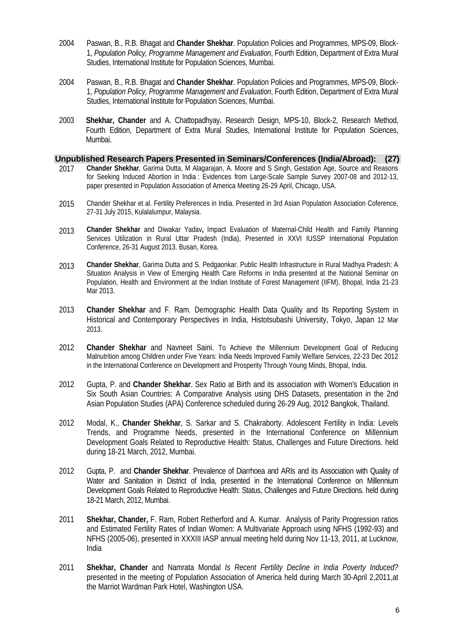- 2004 Paswan, B., R.B. Bhagat and **Chander Shekhar**. Population Policies and Programmes, MPS-09, Block-1, *Population Policy, Programme Management and Evaluation*, Fourth Edition, Department of Extra Mural Studies, International Institute for Population Sciences, Mumbai.
- 2004 Paswan, B., R.B. Bhagat and **Chander Shekhar**. Population Policies and Programmes, MPS-09, Block-1, *Population Policy, Programme Management and Evaluation*, Fourth Edition, Department of Extra Mural Studies, International Institute for Population Sciences, Mumbai.
- 2003 **Shekhar, Chander** and A. Chattopadhyay**.** Research Design, MPS-10, Block-2, Research Method, Fourth Edition, Department of Extra Mural Studies, International Institute for Population Sciences, Mumbai.

#### **Unpublished Research Papers Presented in Seminars/Conferences (India/Abroad): (27)**

- 2017 **Chander Shekhar**, Garima Dutta, M Alagarajan, A. Moore and S Singh, Gestation Age, Source and Reasons for Seeking Induced Abortion in India : Evidences from Large-Scale Sample Survey 2007-08 and 2012-13, paper presented in Population Association of America Meeting 26-29 April, Chicago, USA.
- 2015 Chander Shekhar et al. Fertility Preferences in India. Presented in 3rd Asian Population Association Coference, 27-31 July 2015, Kulalalumpur, Malaysia.
- 2013 **Chander Shekhar** and Diwakar Yadav**,** Impact Evaluation of Maternal-Child Health and Family Planning Services Utilization in Rural Uttar Pradesh (India), Presented in XXVI IUSSP International Population Conference, 26-31 August 2013. Busan, Korea.
- 2013 **Chander Shekhar**, Garima Dutta and S. Pedgaonkar. Public Health Infrastructure in Rural Madhya Pradesh: A Situation Analysis in View of Emerging Health Care Reforms in India presented at the National Seminar on Population, Health and Environment at the Indian Institute of Forest Management (IIFM), Bhopal, India 21-23 Mar 2013.
- 2013 **Chander Shekhar** and F. Ram. Demographic Health Data Quality and Its Reporting System in Historical and Contemporary Perspectives in India, Histotsubashi University, Tokyo, Japan 12 Mar 2013.
- 2012 **Chander Shekhar** and Navneet Saini. To Achieve the Millennium Development Goal of Reducing Malnutrition among Children under Five Years: India Needs Improved Family Welfare Services, 22-23 Dec 2012 in the International Conference on Development and Prosperity Through Young Minds, Bhopal, India.
- 2012 Gupta, P. and **Chander Shekhar**. Sex Ratio at Birth and its association with Women's Education in Six South Asian Countries: A Comparative Analysis using DHS Datasets, presentation in the 2nd Asian Population Studies (APA) Conference scheduled during 26-29 Aug, 2012 Bangkok, Thailand.
- 2012 Modal, K., **Chander Shekhar**, S. Sarkar and S. Chakraborty. Adolescent Fertility in India: Levels Trends, and Programme Needs, presented in the International Conference on Millennium Development Goals Related to Reproductive Health: Status, Challenges and Future Directions. held during 18-21 March, 2012, Mumbai.
- 2012 Gupta, P. and **Chander Shekhar**. Prevalence of Diarrhoea and ARIs and its Association with Quality of Water and Sanitation in District of India, presented in the International Conference on Millennium Development Goals Related to Reproductive Health: Status, Challenges and Future Directions. held during 18-21 March, 2012, Mumbai.
- 2011 **Shekhar, Chander,** F. Ram, Robert Retherford and A. Kumar. Analysis of Parity Progression ratios and Estimated Fertility Rates of Indian Women: A Multivariate Approach using NFHS (1992-93) and NFHS (2005-06), presented in XXXIII IASP annual meeting held during Nov 11-13, 2011, at Lucknow, India
- 2011 **Shekhar, Chander** and Namrata Mondal *Is Recent Fertility Decline in India Poverty Induced?*  presented in the meeting of Population Association of America held during March 30-April 2,2011,at the Marriot Wardman Park Hotel, Washington USA.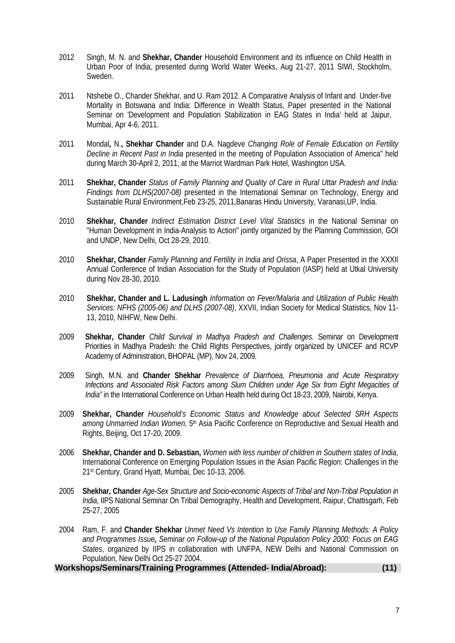- 2012 Singh, M. N. and **Shekhar, Chander** Household Environment and its influence on Child Health in Urban Poor of India, presented during World Water Weeks, Aug 21-27, 2011 SIWI, Stockholm, Sweden.
- 2011 Ntshebe O., Chander Shekhar, and U. Ram 2012. A Comparative Analysis of Infant and Under-five Mortality in Botswana and India: Difference in Wealth Status, Paper presented in the National Seminar on 'Development and Population Stabilization in EAG States in India' held at Jaipur, Mumbai, Apr 4-6, 2011.
- 2011 Mondal**,** N.**, Shekhar Chander** and D.A. Nagdeve *Changing Role of Female Education on Fertility Decline in Recent Past in India* presented in the meeting of Population Association of America" held during March 30-April 2, 2011, at the Marriot Wardman Park Hotel, Washington USA.
- 2011 **Shekhar, Chander** *Status of Family Planning and Quality of Care in Rural Uttar Pradesh and India: Findings from DLHS(2007-08)* presented in the International Seminar on Technology, Energy and Sustainable Rural Environment,Feb 23-25, 2011,Banaras Hindu University, Varanasi,UP, India.
- 2010 **Shekhar, Chander** *Indirect Estimation District Level Vital Statistics* in the National Seminar on "Human Development in India-Analysis to Action" jointly organized by the Planning Commission, GOI and UNDP, New Delhi, Oct 28-29, 2010.
- 2010 **Shekhar, Chander** *Family Planning and Fertility in India and Orissa*, A Paper Presented in the XXXII Annual Conference of Indian Association for the Study of Population (IASP) held at Utkal University during Nov 28-30, 2010.
- 2010 **Shekhar, Chander and L. Ladusingh** *Information on Fever/Malaria and Utilization of Public Health Services: NFHS (2005-06) and DLHS (2007-08)*, XXVII, Indian Society for Medical Statistics, Nov 11- 13, 2010, NIHFW, New Delhi.
- 2009 **Shekhar, Chander** *Child Survival in Madhya Pradesh and Challenges.* Seminar on Development Priorities in Madhya Pradesh: the Child Rights Perspectives, jointly organized by UNICEF and RCVP Academy of Administration, BHOPAL (MP), Nov 24, 2009.
- 2009 Singh, M.N. and **Chander Shekhar** *Prevalence of Diarrhoea, Pneumonia and Acute Respiratory Infections and Associated Risk Factors among Slum Children under Age Six from Eight Megacities of India"* in the International Conference on Urban Health held during Oct 18-23, 2009, Nairobi, Kenya.
- 2009 **Shekhar, Chander** *Household's Economic Status and Knowledge about Selected SRH Aspects among Unmarried Indian Women,* 5th Asia Pacific Conference on Reproductive and Sexual Health and Rights, Beijing, Oct 17-20, 2009.
- 2006 **Shekhar, Chander and D. Sebastian,** *Women with less number of children in Southern states of India*, International Conference on Emerging Population Issues in the Asian Pacific Region: Challenges in the 21st Century, Grand Hyatt, Mumbai, Dec 10-13, 2006.
- 2005 **Shekhar, Chander** *Age-Sex Structure and Socio-economic Aspects of Tribal and Non-Tribal Population in India*, IIPS National Seminar On Tribal Demography, Health and Development, Raipur, Chattisgarh, Feb 25-27, 2005
- 2004 Ram, F. and **Chander Shekhar** *Unmet Need Vs Intention to Use Family Planning Methods: A Policy and Programmes Issue, Seminar on Follow-up of the National Population Policy 2000: Focus on EAG States*, organized by IIPS in collaboration with UNFPA, NEW Delhi and National Commission on Population, New Delhi Oct 25-27 2004.

**Workshops/Seminars/Training Programmes (Attended- India/Abroad): (11)**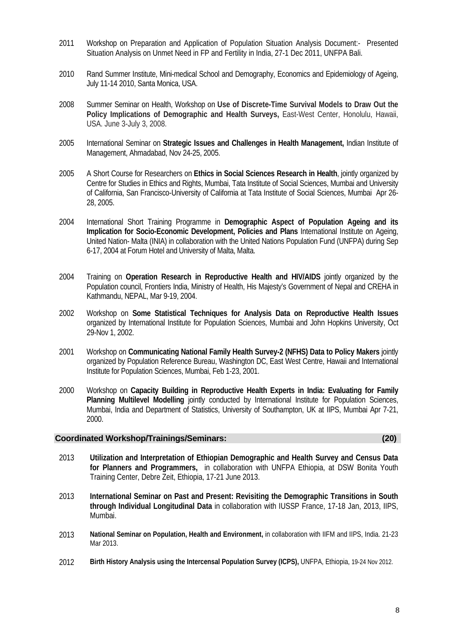- 2011 Workshop on Preparation and Application of Population Situation Analysis Document:- Presented Situation Analysis on Unmet Need in FP and Fertility in India, 27-1 Dec 2011, UNFPA Bali.
- 2010 Rand Summer Institute, Mini-medical School and Demography, Economics and Epidemiology of Ageing, July 11-14 2010, Santa Monica, USA.
- 2008 Summer Seminar on Health, Workshop on **Use of Discrete-Time Survival Models to Draw Out the**  Policy Implications of Demographic and Health Surveys, East-West Center, Honolulu, Hawaii, USA. June 3-July 3, 2008.
- 2005 International Seminar on **Strategic Issues and Challenges in Health Management,** Indian Institute of Management, Ahmadabad, Nov 24-25, 2005.
- 2005 A Short Course for Researchers on **Ethics in Social Sciences Research in Health**, jointly organized by Centre for Studies in Ethics and Rights, Mumbai, Tata Institute of Social Sciences, Mumbai and University of California, San Francisco-University of California at Tata Institute of Social Sciences, Mumbai Apr 26- 28, 2005.
- 2004 International Short Training Programme in **Demographic Aspect of Population Ageing and its Implication for Socio-Economic Development, Policies and Plans** International Institute on Ageing, United Nation- Malta (INIA) in collaboration with the United Nations Population Fund (UNFPA) during Sep 6-17, 2004 at Forum Hotel and University of Malta, Malta.
- 2004 Training on **Operation Research in Reproductive Health and HIV/AIDS** jointly organized by the Population council, Frontiers India, Ministry of Health, His Majesty's Government of Nepal and CREHA in Kathmandu, NEPAL, Mar 9-19, 2004.
- 2002 Workshop on **Some Statistical Techniques for Analysis Data on Reproductive Health Issues** organized by International Institute for Population Sciences, Mumbai and John Hopkins University, Oct 29-Nov 1, 2002.
- 2001 Workshop on **Communicating National Family Health Survey-2 (NFHS) Data to Policy Makers** jointly organized by Population Reference Bureau, Washington DC, East West Centre, Hawaii and International Institute for Population Sciences, Mumbai, Feb 1-23, 2001.
- 2000 Workshop on **Capacity Building in Reproductive Health Experts in India: Evaluating for Family Planning Multilevel Modelling** jointly conducted by International Institute for Population Sciences, Mumbai, India and Department of Statistics, University of Southampton, UK at IIPS, Mumbai Apr 7-21, 2000.

### **Coordinated Workshop/Trainings/Seminars: (20)**

- 2013 **Utilization and Interpretation of Ethiopian Demographic and Health Survey and Census Data for Planners and Programmers,** in collaboration with UNFPA Ethiopia, at DSW Bonita Youth Training Center, Debre Zeit, Ethiopia, 17-21 June 2013.
- 2013 **International Seminar on Past and Present: Revisiting the Demographic Transitions in South through Individual Longitudinal Data** in collaboration with IUSSP France, 17-18 Jan, 2013, IIPS, Mumbai.
- 2013 **National Seminar on Population, Health and Environment,** in collaboration with IIFM and IIPS, India. 21-23 Mar 2013.
- 2012 **Birth History Analysis using the Intercensal Population Survey (ICPS),** UNFPA, Ethiopia, 19-24 Nov 2012.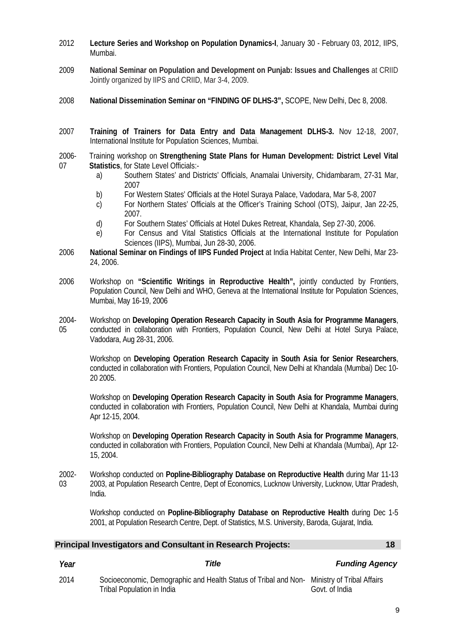- 2012 **Lecture Series and Workshop on Population Dynamics-I**, January 30 February 03, 2012, IIPS, Mumbai.
- 2009 **National Seminar on Population and Development on Punjab: Issues and Challenges** at CRIID Jointly organized by IIPS and CRIID, Mar 3-4, 2009.
- 2008 **National Dissemination Seminar on "FINDING OF DLHS-3",** SCOPE, New Delhi, Dec 8, 2008.
- 2007 **Training of Trainers for Data Entry and Data Management DLHS-3.** Nov 12-18, 2007, International Institute for Population Sciences, Mumbai.
- 2006- 07 Training workshop on **Strengthening State Plans for Human Development: District Level Vital Statistics**, for State Level Officials:
	- a) Southern States' and Districts' Officials, Anamalai University, Chidambaram, 27-31 Mar, 2007
	- b) For Western States' Officials at the Hotel Suraya Palace, Vadodara, Mar 5-8, 2007
	- c) For Northern States' Officials at the Officer's Training School (OTS), Jaipur, Jan 22-25, 2007.
	- d) For Southern States' Officials at Hotel Dukes Retreat, Khandala, Sep 27-30, 2006.
	- e) For Census and Vital Statistics Officials at the International Institute for Population Sciences (IIPS), Mumbai, Jun 28-30, 2006.
- 2006 **National Seminar on Findings of IIPS Funded Project** at India Habitat Center, New Delhi, Mar 23- 24, 2006.
- 2006 Workshop on **"Scientific Writings in Reproductive Health",** jointly conducted by Frontiers, Population Council, New Delhi and WHO, Geneva at the International Institute for Population Sciences, Mumbai, May 16-19, 2006
- 2004- 05 Workshop on **Developing Operation Research Capacity in South Asia for Programme Managers**, conducted in collaboration with Frontiers, Population Council, New Delhi at Hotel Surya Palace, Vadodara, Aug 28-31, 2006.

Workshop on **Developing Operation Research Capacity in South Asia for Senior Researchers**, conducted in collaboration with Frontiers, Population Council, New Delhi at Khandala (Mumbai) Dec 10- 20 2005.

Workshop on **Developing Operation Research Capacity in South Asia for Programme Managers**, conducted in collaboration with Frontiers, Population Council, New Delhi at Khandala, Mumbai during Apr 12-15, 2004.

Workshop on **Developing Operation Research Capacity in South Asia for Programme Managers**, conducted in collaboration with Frontiers, Population Council, New Delhi at Khandala (Mumbai), Apr 12- 15, 2004.

2002- 03 Workshop conducted on **Popline-Bibliography Database on Reproductive Health** during Mar 11-13 2003, at Population Research Centre, Dept of Economics, Lucknow University, Lucknow, Uttar Pradesh, India.

Workshop conducted on **Popline-Bibliography Database on Reproductive Health** during Dec 1-5 2001, at Population Research Centre, Dept. of Statistics, M.S. University, Baroda, Gujarat, India.

| Principal Investigators and Consultant in Research Projects: | 18 |
|--------------------------------------------------------------|----|
|--------------------------------------------------------------|----|

2014 Socioeconomic, Demographic and Health Status of Tribal and Non-Ministry of Tribal Affairs Tribal Population in India Govt. of India

### *Year Title Funding Agency*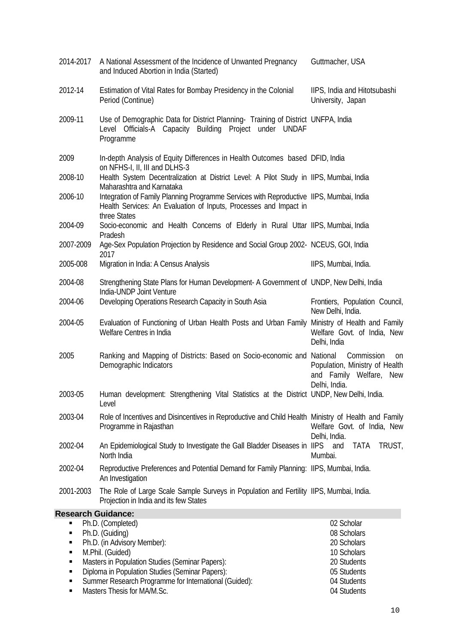| 2014-2017                                                                     | A National Assessment of the Incidence of Unwanted Pregnancy<br>and Induced Abortion in India (Started)                                                                      | Guttmacher, USA                                                                                           |  |  |  |
|-------------------------------------------------------------------------------|------------------------------------------------------------------------------------------------------------------------------------------------------------------------------|-----------------------------------------------------------------------------------------------------------|--|--|--|
| 2012-14                                                                       | Estimation of Vital Rates for Bombay Presidency in the Colonial<br>Period (Continue)                                                                                         | IIPS, India and Hitotsubashi<br>University, Japan                                                         |  |  |  |
| 2009-11                                                                       | Use of Demographic Data for District Planning- Training of District UNFPA, India<br>Level Officials-A Capacity Building Project under UNDAF<br>Programme                     |                                                                                                           |  |  |  |
| 2009                                                                          | In-depth Analysis of Equity Differences in Health Outcomes based DFID, India<br>on NFHS-I, II, III and DLHS-3                                                                |                                                                                                           |  |  |  |
| 2008-10                                                                       | Health System Decentralization at District Level: A Pilot Study in IIPS, Mumbai, India<br>Maharashtra and Karnataka                                                          |                                                                                                           |  |  |  |
| 2006-10                                                                       | Integration of Family Planning Programme Services with Reproductive IIPS, Mumbai, India<br>Health Services: An Evaluation of Inputs, Processes and Impact in<br>three States |                                                                                                           |  |  |  |
| 2004-09                                                                       | Socio-economic and Health Concerns of Elderly in Rural Uttar IIPS, Mumbai, India<br>Pradesh                                                                                  |                                                                                                           |  |  |  |
| 2007-2009                                                                     | Age-Sex Population Projection by Residence and Social Group 2002- NCEUS, GOI, India<br>2017                                                                                  |                                                                                                           |  |  |  |
| 2005-008                                                                      | Migration in India: A Census Analysis                                                                                                                                        | IIPS, Mumbai, India.                                                                                      |  |  |  |
| 2004-08                                                                       | Strengthening State Plans for Human Development- A Government of UNDP, New Delhi, India<br>India-UNDP Joint Venture                                                          |                                                                                                           |  |  |  |
| 2004-06                                                                       | Developing Operations Research Capacity in South Asia                                                                                                                        | Frontiers, Population Council,<br>New Delhi, India.                                                       |  |  |  |
| 2004-05                                                                       | Evaluation of Functioning of Urban Health Posts and Urban Family<br>Welfare Centres in India                                                                                 | Ministry of Health and Family<br>Welfare Govt. of India, New<br>Delhi, India                              |  |  |  |
| 2005                                                                          | Ranking and Mapping of Districts: Based on Socio-economic and National<br>Demographic Indicators                                                                             | Commission<br><sub>on</sub><br>Population, Ministry of Health<br>and Family Welfare, New<br>Delhi, India. |  |  |  |
| 2003-05                                                                       | Human development: Strengthening Vital Statistics at the District UNDP, New Delhi, India.<br>Level                                                                           |                                                                                                           |  |  |  |
| 2003-04                                                                       | Role of Incentives and Disincentives in Reproductive and Child Health Ministry of Health and Family<br>Programme in Rajasthan                                                | Welfare Govt. of India, New<br>Delhi, India.                                                              |  |  |  |
| 2002-04                                                                       | An Epidemiological Study to Investigate the Gall Bladder Diseases in IIPS and<br>North India                                                                                 | TRUST,<br><b>TATA</b><br>Mumbai.                                                                          |  |  |  |
| 2002-04                                                                       | Reproductive Preferences and Potential Demand for Family Planning: IIPS, Mumbai, India.<br>An Investigation                                                                  |                                                                                                           |  |  |  |
| 2001-2003                                                                     | The Role of Large Scale Sample Surveys in Population and Fertility IIPS, Mumbai, India.<br>Projection in India and its few States                                            |                                                                                                           |  |  |  |
|                                                                               | <b>Research Guidance:</b>                                                                                                                                                    |                                                                                                           |  |  |  |
| Ph.D. (Completed)<br>02 Scholar                                               |                                                                                                                                                                              |                                                                                                           |  |  |  |
| Ph.D. (Guiding)<br>08 Scholars<br>٠                                           |                                                                                                                                                                              |                                                                                                           |  |  |  |
| Ph.D. (in Advisory Member):<br>٠                                              |                                                                                                                                                                              | 20 Scholars                                                                                               |  |  |  |
| M.Phil. (Guided)<br>٠<br>Masters in Population Studies (Seminar Papers):<br>٠ |                                                                                                                                                                              | 10 Scholars<br>20 Students                                                                                |  |  |  |
| ٠                                                                             | Diploma in Population Studies (Seminar Papers):                                                                                                                              | 05 Students                                                                                               |  |  |  |

- Summer Research Programme for International (Guided): 04 Students
- Masters Thesis for MA/M.Sc. 2014 2022 12:04 Students